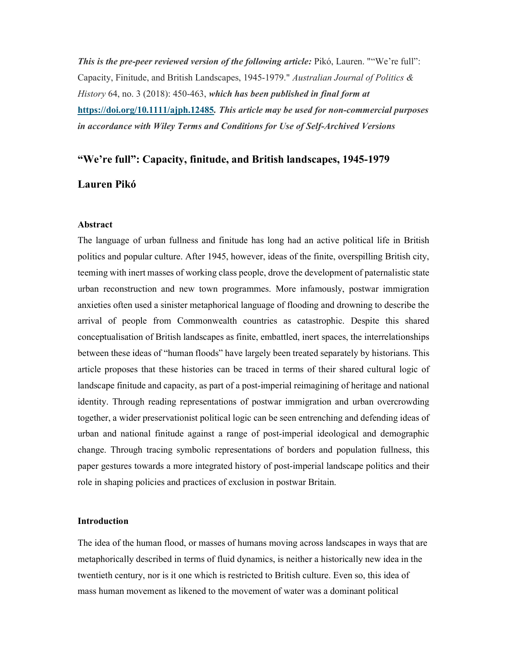This is the pre-peer reviewed version of the following article: Pikó, Lauren. ""We're full": Capacity, Finitude, and British Landscapes, 1945-1979." Australian Journal of Politics & History 64, no. 3 (2018): 450-463, which has been published in final form at https://doi.org/10.1111/ajph.12485. This article may be used for non-commercial purposes in accordance with Wiley Terms and Conditions for Use of Self-Archived Versions

## "We're full": Capacity, finitude, and British landscapes, 1945-1979

# Lauren Pikó

### Abstract

The language of urban fullness and finitude has long had an active political life in British politics and popular culture. After 1945, however, ideas of the finite, overspilling British city, teeming with inert masses of working class people, drove the development of paternalistic state urban reconstruction and new town programmes. More infamously, postwar immigration anxieties often used a sinister metaphorical language of flooding and drowning to describe the arrival of people from Commonwealth countries as catastrophic. Despite this shared conceptualisation of British landscapes as finite, embattled, inert spaces, the interrelationships between these ideas of "human floods" have largely been treated separately by historians. This article proposes that these histories can be traced in terms of their shared cultural logic of landscape finitude and capacity, as part of a post-imperial reimagining of heritage and national identity. Through reading representations of postwar immigration and urban overcrowding together, a wider preservationist political logic can be seen entrenching and defending ideas of urban and national finitude against a range of post-imperial ideological and demographic change. Through tracing symbolic representations of borders and population fullness, this paper gestures towards a more integrated history of post-imperial landscape politics and their role in shaping policies and practices of exclusion in postwar Britain.

## Introduction

The idea of the human flood, or masses of humans moving across landscapes in ways that are metaphorically described in terms of fluid dynamics, is neither a historically new idea in the twentieth century, nor is it one which is restricted to British culture. Even so, this idea of mass human movement as likened to the movement of water was a dominant political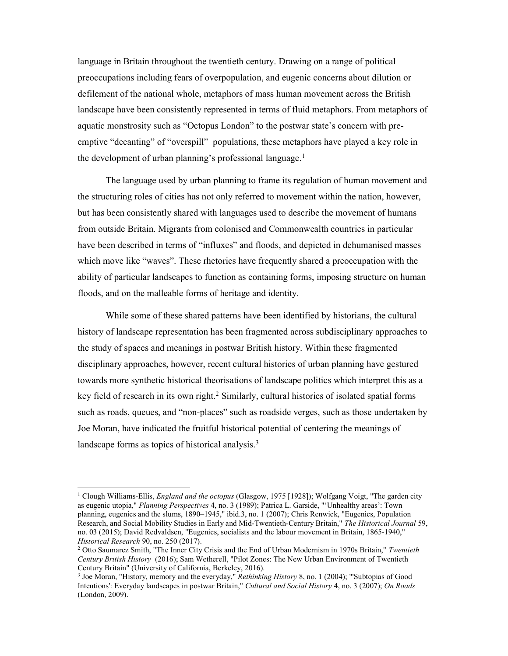language in Britain throughout the twentieth century. Drawing on a range of political preoccupations including fears of overpopulation, and eugenic concerns about dilution or defilement of the national whole, metaphors of mass human movement across the British landscape have been consistently represented in terms of fluid metaphors. From metaphors of aquatic monstrosity such as "Octopus London" to the postwar state's concern with preemptive "decanting" of "overspill" populations, these metaphors have played a key role in the development of urban planning's professional language.<sup>1</sup>

The language used by urban planning to frame its regulation of human movement and the structuring roles of cities has not only referred to movement within the nation, however, but has been consistently shared with languages used to describe the movement of humans from outside Britain. Migrants from colonised and Commonwealth countries in particular have been described in terms of "influxes" and floods, and depicted in dehumanised masses which move like "waves". These rhetorics have frequently shared a preoccupation with the ability of particular landscapes to function as containing forms, imposing structure on human floods, and on the malleable forms of heritage and identity.

While some of these shared patterns have been identified by historians, the cultural history of landscape representation has been fragmented across subdisciplinary approaches to the study of spaces and meanings in postwar British history. Within these fragmented disciplinary approaches, however, recent cultural histories of urban planning have gestured towards more synthetic historical theorisations of landscape politics which interpret this as a key field of research in its own right.<sup>2</sup> Similarly, cultural histories of isolated spatial forms such as roads, queues, and "non-places" such as roadside verges, such as those undertaken by Joe Moran, have indicated the fruitful historical potential of centering the meanings of landscape forms as topics of historical analysis.<sup>3</sup>

<sup>&</sup>lt;sup>1</sup> Clough Williams-Ellis, *England and the octopus* (Glasgow, 1975 [1928]); Wolfgang Voigt, "The garden city as eugenic utopia," Planning Perspectives 4, no. 3 (1989); Patrica L. Garside, "'Unhealthy areas': Town planning, eugenics and the slums, 1890–1945," ibid.3, no. 1 (2007); Chris Renwick, "Eugenics, Population Research, and Social Mobility Studies in Early and Mid-Twentieth-Century Britain," The Historical Journal 59, no. 03 (2015); David Redvaldsen, "Eugenics, socialists and the labour movement in Britain, 1865-1940," Historical Research 90, no. 250 (2017).

<sup>&</sup>lt;sup>2</sup> Otto Saumarez Smith, "The Inner City Crisis and the End of Urban Modernism in 1970s Britain," Twentieth Century British History (2016); Sam Wetherell, "Pilot Zones: The New Urban Environment of Twentieth Century Britain" (University of California, Berkeley, 2016).

<sup>&</sup>lt;sup>3</sup> Joe Moran, "History, memory and the everyday," Rethinking History 8, no. 1 (2004); "'Subtopias of Good Intentions': Everyday landscapes in postwar Britain," Cultural and Social History 4, no. 3 (2007); On Roads (London, 2009).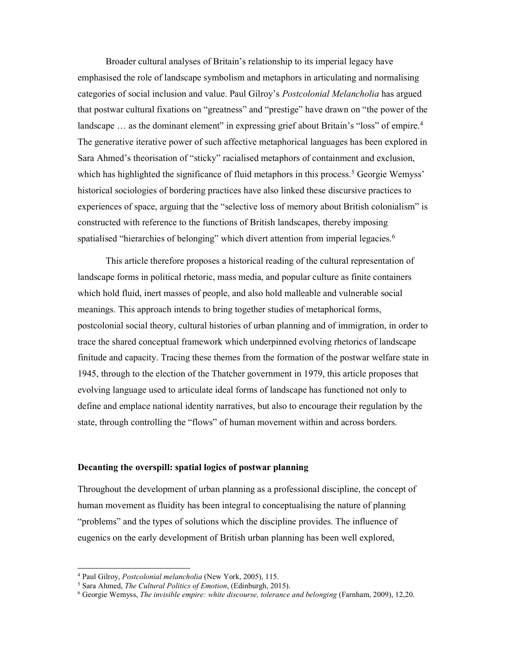Broader cultural analyses of Britain's relationship to its imperial legacy have emphasised the role of landscape symbolism and metaphors in articulating and normalising categories of social inclusion and value. Paul Gilroy's Postcolonial Melancholia has argued that postwar cultural fixations on "greatness" and "prestige" have drawn on "the power of the landscape ... as the dominant element" in expressing grief about Britain's "loss" of empire.<sup>4</sup> The generative iterative power of such affective metaphorical languages has been explored in Sara Ahmed's theorisation of "sticky" racialised metaphors of containment and exclusion, which has highlighted the significance of fluid metaphors in this process.<sup>5</sup> Georgie Wemyss' historical sociologies of bordering practices have also linked these discursive practices to experiences of space, arguing that the "selective loss of memory about British colonialism" is constructed with reference to the functions of British landscapes, thereby imposing spatialised "hierarchies of belonging" which divert attention from imperial legacies.<sup>6</sup>

This article therefore proposes a historical reading of the cultural representation of landscape forms in political rhetoric, mass media, and popular culture as finite containers which hold fluid, inert masses of people, and also hold malleable and vulnerable social meanings. This approach intends to bring together studies of metaphorical forms, postcolonial social theory, cultural histories of urban planning and of immigration, in order to trace the shared conceptual framework which underpinned evolving rhetorics of landscape finitude and capacity. Tracing these themes from the formation of the postwar welfare state in 1945, through to the election of the Thatcher government in 1979, this article proposes that evolving language used to articulate ideal forms of landscape has functioned not only to define and emplace national identity narratives, but also to encourage their regulation by the state, through controlling the "flows" of human movement within and across borders.

### Decanting the overspill: spatial logics of postwar planning

Throughout the development of urban planning as a professional discipline, the concept of human movement as fluidity has been integral to conceptualising the nature of planning "problems" and the types of solutions which the discipline provides. The influence of eugenics on the early development of British urban planning has been well explored,

<sup>&</sup>lt;sup>4</sup> Paul Gilroy, *Postcolonial melancholia* (New York, 2005), 115.

<sup>&</sup>lt;sup>5</sup> Sara Ahmed, *The Cultural Politics of Emotion*, (Edinburgh, 2015).

<sup>&</sup>lt;sup>6</sup> Georgie Wemyss, The invisible empire: white discourse, tolerance and belonging (Farnham, 2009), 12,20.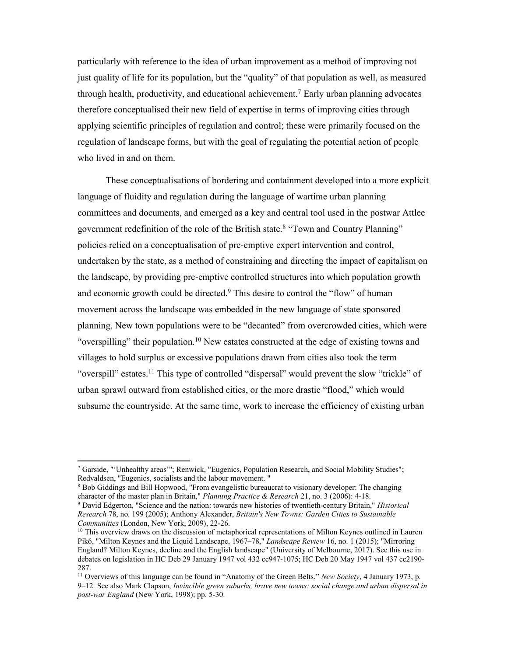particularly with reference to the idea of urban improvement as a method of improving not just quality of life for its population, but the "quality" of that population as well, as measured through health, productivity, and educational achievement.<sup>7</sup> Early urban planning advocates therefore conceptualised their new field of expertise in terms of improving cities through applying scientific principles of regulation and control; these were primarily focused on the regulation of landscape forms, but with the goal of regulating the potential action of people who lived in and on them.

These conceptualisations of bordering and containment developed into a more explicit language of fluidity and regulation during the language of wartime urban planning committees and documents, and emerged as a key and central tool used in the postwar Attlee government redefinition of the role of the British state.<sup>8</sup> "Town and Country Planning" policies relied on a conceptualisation of pre-emptive expert intervention and control, undertaken by the state, as a method of constraining and directing the impact of capitalism on the landscape, by providing pre-emptive controlled structures into which population growth and economic growth could be directed.<sup>9</sup> This desire to control the "flow" of human movement across the landscape was embedded in the new language of state sponsored planning. New town populations were to be "decanted" from overcrowded cities, which were "overspilling" their population.<sup>10</sup> New estates constructed at the edge of existing towns and villages to hold surplus or excessive populations drawn from cities also took the term "overspill" estates.<sup>11</sup> This type of controlled "dispersal" would prevent the slow "trickle" of urban sprawl outward from established cities, or the more drastic "flood," which would subsume the countryside. At the same time, work to increase the efficiency of existing urban

<sup>&</sup>lt;sup>7</sup> Garside, "'Unhealthy areas'"; Renwick, "Eugenics, Population Research, and Social Mobility Studies"; Redvaldsen, "Eugenics, socialists and the labour movement. "

<sup>&</sup>lt;sup>8</sup> Bob Giddings and Bill Hopwood, "From evangelistic bureaucrat to visionary developer: The changing character of the master plan in Britain," Planning Practice & Research 21, no. 3 (2006): 4-18.

<sup>&</sup>lt;sup>9</sup> David Edgerton, "Science and the nation: towards new histories of twentieth-century Britain," Historical Research 78, no. 199 (2005); Anthony Alexander, Britain's New Towns: Garden Cities to Sustainable Communities (London, New York, 2009), 22-26.

 $10$  This overview draws on the discussion of metaphorical representations of Milton Keynes outlined in Lauren Pikó, "Milton Keynes and the Liquid Landscape, 1967–78," Landscape Review 16, no. 1 (2015); "Mirroring England? Milton Keynes, decline and the English landscape" (University of Melbourne, 2017). See this use in debates on legislation in HC Deb 29 January 1947 vol 432 cc947-1075; HC Deb 20 May 1947 vol 437 cc2190- 287.

<sup>&</sup>lt;sup>11</sup> Overviews of this language can be found in "Anatomy of the Green Belts," New Society, 4 January 1973, p. 9–12. See also Mark Clapson, Invincible green suburbs, brave new towns: social change and urban dispersal in post-war England (New York, 1998); pp. 5-30.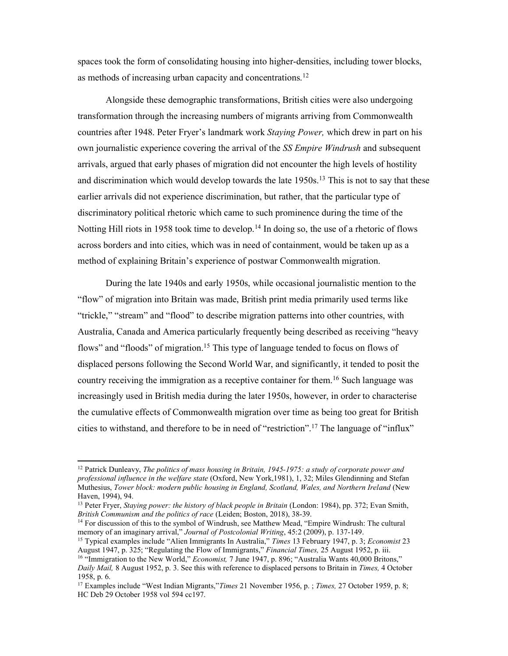spaces took the form of consolidating housing into higher-densities, including tower blocks, as methods of increasing urban capacity and concentrations.<sup>12</sup>

Alongside these demographic transformations, British cities were also undergoing transformation through the increasing numbers of migrants arriving from Commonwealth countries after 1948. Peter Fryer's landmark work Staying Power, which drew in part on his own journalistic experience covering the arrival of the SS *Empire Windrush* and subsequent arrivals, argued that early phases of migration did not encounter the high levels of hostility and discrimination which would develop towards the late  $1950s$ .<sup>13</sup> This is not to say that these earlier arrivals did not experience discrimination, but rather, that the particular type of discriminatory political rhetoric which came to such prominence during the time of the Notting Hill riots in 1958 took time to develop.<sup>14</sup> In doing so, the use of a rhetoric of flows across borders and into cities, which was in need of containment, would be taken up as a method of explaining Britain's experience of postwar Commonwealth migration.

During the late 1940s and early 1950s, while occasional journalistic mention to the "flow" of migration into Britain was made, British print media primarily used terms like "trickle," "stream" and "flood" to describe migration patterns into other countries, with Australia, Canada and America particularly frequently being described as receiving "heavy flows" and "floods" of migration.<sup>15</sup> This type of language tended to focus on flows of displaced persons following the Second World War, and significantly, it tended to posit the country receiving the immigration as a receptive container for them.<sup>16</sup> Such language was increasingly used in British media during the later 1950s, however, in order to characterise the cumulative effects of Commonwealth migration over time as being too great for British cities to withstand, and therefore to be in need of "restriction".<sup>17</sup> The language of "influx"

<sup>&</sup>lt;sup>12</sup> Patrick Dunleavy, The politics of mass housing in Britain, 1945-1975: a study of corporate power and professional influence in the welfare state (Oxford, New York,1981), 1, 32; Miles Glendinning and Stefan Muthesius, Tower block: modern public housing in England, Scotland, Wales, and Northern Ireland (New Haven, 1994), 94.

<sup>&</sup>lt;sup>13</sup> Peter Fryer, Staying power: the history of black people in Britain (London: 1984), pp. 372; Evan Smith, British Communism and the politics of race (Leiden; Boston, 2018), 38-39.

<sup>&</sup>lt;sup>14</sup> For discussion of this to the symbol of Windrush, see Matthew Mead, "Empire Windrush: The cultural memory of an imaginary arrival," Journal of Postcolonial Writing, 45:2 (2009), p. 137-149.

<sup>&</sup>lt;sup>15</sup> Typical examples include "Alien Immigrants In Australia," Times 13 February 1947, p. 3; *Economist* 23 August 1947, p. 325; "Regulating the Flow of Immigrants," Financial Times, 25 August 1952, p. iii.

<sup>&</sup>lt;sup>16</sup> "Immigration to the New World," *Economist*, 7 June 1947, p. 896; "Australia Wants 40,000 Britons," Daily Mail, 8 August 1952, p. 3. See this with reference to displaced persons to Britain in Times, 4 October 1958, p. 6.

<sup>&</sup>lt;sup>17</sup> Examples include "West Indian Migrants," *Times* 21 November 1956, p. ; *Times*, 27 October 1959, p. 8; HC Deb 29 October 1958 vol 594 cc197.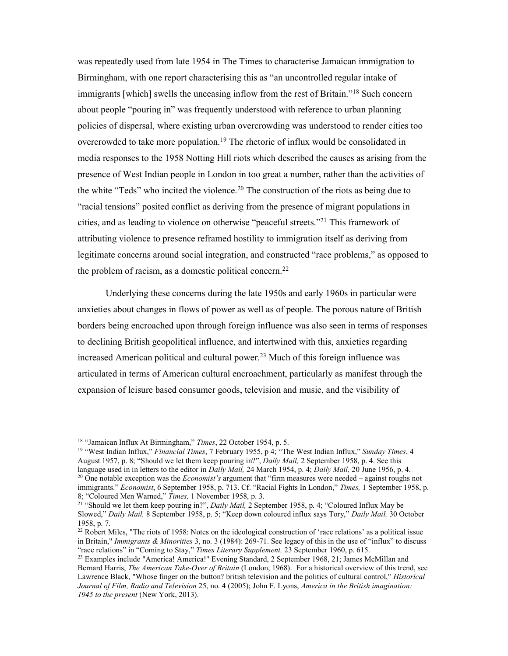was repeatedly used from late 1954 in The Times to characterise Jamaican immigration to Birmingham, with one report characterising this as "an uncontrolled regular intake of immigrants [which] swells the unceasing inflow from the rest of Britain."<sup>18</sup> Such concern about people "pouring in" was frequently understood with reference to urban planning policies of dispersal, where existing urban overcrowding was understood to render cities too overcrowded to take more population.<sup>19</sup> The rhetoric of influx would be consolidated in media responses to the 1958 Notting Hill riots which described the causes as arising from the presence of West Indian people in London in too great a number, rather than the activities of the white "Teds" who incited the violence.<sup>20</sup> The construction of the riots as being due to "racial tensions" posited conflict as deriving from the presence of migrant populations in cities, and as leading to violence on otherwise "peaceful streets."<sup>21</sup> This framework of attributing violence to presence reframed hostility to immigration itself as deriving from legitimate concerns around social integration, and constructed "race problems," as opposed to the problem of racism, as a domestic political concern.<sup>22</sup>

Underlying these concerns during the late 1950s and early 1960s in particular were anxieties about changes in flows of power as well as of people. The porous nature of British borders being encroached upon through foreign influence was also seen in terms of responses to declining British geopolitical influence, and intertwined with this, anxieties regarding increased American political and cultural power.<sup>23</sup> Much of this foreign influence was articulated in terms of American cultural encroachment, particularly as manifest through the expansion of leisure based consumer goods, television and music, and the visibility of

<sup>&</sup>lt;sup>18</sup> "Jamaican Influx At Birmingham," Times, 22 October 1954, p. 5.

<sup>&</sup>lt;sup>19</sup> "West Indian Influx," Financial Times, 7 February 1955, p 4; "The West Indian Influx," Sunday Times, 4 August 1957, p. 8; "Should we let them keep pouring in?", Daily Mail, 2 September 1958, p. 4. See this language used in in letters to the editor in Daily Mail, 24 March 1954, p. 4; Daily Mail, 20 June 1956, p. 4.  $20$  One notable exception was the *Economist's* argument that "firm measures were needed – against roughs not immigrants." Economist, 6 September 1958, p. 713. Cf. "Racial Fights In London," Times, 1 September 1958, p. 8; "Coloured Men Warned," Times, 1 November 1958, p. 3.

<sup>&</sup>lt;sup>21</sup> "Should we let them keep pouring in?", Daily Mail, 2 September 1958, p. 4; "Coloured Influx May be Slowed," Daily Mail, 8 September 1958, p. 5; "Keep down coloured influx says Tory," Daily Mail, 30 October 1958, p. 7.

 $22$  Robert Miles, "The riots of 1958: Notes on the ideological construction of 'race relations' as a political issue in Britain," Immigrants & Minorities 3, no. 3 (1984): 269-71. See legacy of this in the use of "influx" to discuss "race relations" in "Coming to Stay," Times Literary Supplement, 23 September 1960, p. 615.

<sup>&</sup>lt;sup>23</sup> Examples include "America! America!" Evening Standard, 2 September 1968, 21; James McMillan and Bernard Harris, The American Take-Over of Britain (London, 1968). For a historical overview of this trend, see Lawrence Black, "Whose finger on the button? british television and the politics of cultural control," Historical Journal of Film, Radio and Television 25, no. 4 (2005); John F. Lyons, America in the British imagination: 1945 to the present (New York, 2013).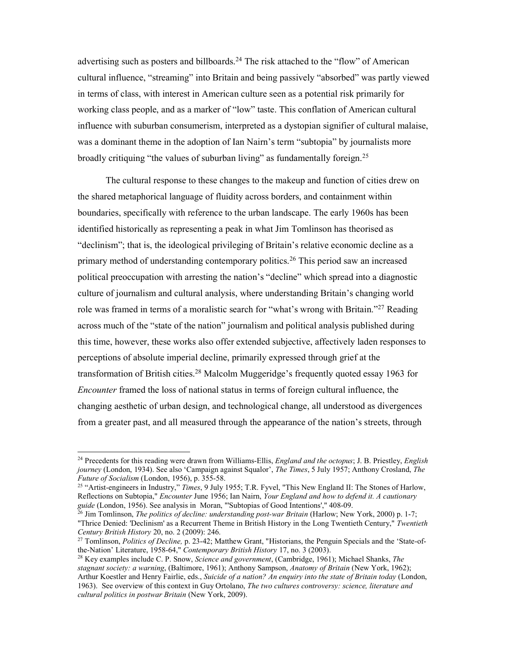advertising such as posters and billboards.<sup>24</sup> The risk attached to the "flow" of American cultural influence, "streaming" into Britain and being passively "absorbed" was partly viewed in terms of class, with interest in American culture seen as a potential risk primarily for working class people, and as a marker of "low" taste. This conflation of American cultural influence with suburban consumerism, interpreted as a dystopian signifier of cultural malaise, was a dominant theme in the adoption of Ian Nairn's term "subtopia" by journalists more broadly critiquing "the values of suburban living" as fundamentally foreign.<sup>25</sup>

The cultural response to these changes to the makeup and function of cities drew on the shared metaphorical language of fluidity across borders, and containment within boundaries, specifically with reference to the urban landscape. The early 1960s has been identified historically as representing a peak in what Jim Tomlinson has theorised as "declinism"; that is, the ideological privileging of Britain's relative economic decline as a primary method of understanding contemporary politics.<sup>26</sup> This period saw an increased political preoccupation with arresting the nation's "decline" which spread into a diagnostic culture of journalism and cultural analysis, where understanding Britain's changing world role was framed in terms of a moralistic search for "what's wrong with Britain."<sup>27</sup> Reading across much of the "state of the nation" journalism and political analysis published during this time, however, these works also offer extended subjective, affectively laden responses to perceptions of absolute imperial decline, primarily expressed through grief at the transformation of British cities.<sup>28</sup> Malcolm Muggeridge's frequently quoted essay 1963 for Encounter framed the loss of national status in terms of foreign cultural influence, the changing aesthetic of urban design, and technological change, all understood as divergences from a greater past, and all measured through the appearance of the nation's streets, through

<sup>&</sup>lt;sup>24</sup> Precedents for this reading were drawn from Williams-Ellis, *England and the octopus*; J. B. Priestley, *English* journey (London, 1934). See also 'Campaign against Squalor', The Times, 5 July 1957; Anthony Crosland, The Future of Socialism (London, 1956), p. 355-58.

<sup>&</sup>lt;sup>25</sup> "Artist-engineers in Industry," Times, 9 July 1955; T.R. Fyvel, "This New England II: The Stones of Harlow, Reflections on Subtopia," Encounter June 1956; Ian Nairn, Your England and how to defend it. A cautionary guide (London, 1956). See analysis in Moran, "'Subtopias of Good Intentions'," 408-09.

 $^{26}$  Jim Tomlinson, *The politics of decline: understanding post-war Britain* (Harlow; New York, 2000) p. 1-7; "Thrice Denied: 'Declinism' as a Recurrent Theme in British History in the Long Twentieth Century," Twentieth Century British History 20, no. 2 (2009): 246.

<sup>&</sup>lt;sup>27</sup> Tomlinson, *Politics of Decline*, p. 23-42; Matthew Grant, "Historians, the Penguin Specials and the 'State-ofthe-Nation' Literature, 1958-64," Contemporary British History 17, no. 3 (2003).

 $28$  Key examples include C. P. Snow, Science and government, (Cambridge, 1961); Michael Shanks, The stagnant society: a warning, (Baltimore, 1961); Anthony Sampson, Anatomy of Britain (New York, 1962); Arthur Koestler and Henry Fairlie, eds., Suicide of a nation? An enquiry into the state of Britain today (London, 1963). See overview of this context in Guy Ortolano, The two cultures controversy: science, literature and cultural politics in postwar Britain (New York, 2009).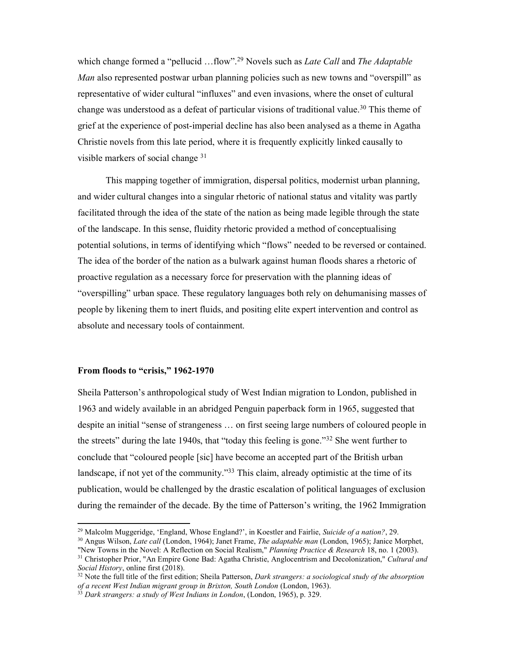which change formed a "pellucid ...flow".<sup>29</sup> Novels such as *Late Call* and *The Adaptable* Man also represented postwar urban planning policies such as new towns and "overspill" as representative of wider cultural "influxes" and even invasions, where the onset of cultural change was understood as a defeat of particular visions of traditional value.<sup>30</sup> This theme of grief at the experience of post-imperial decline has also been analysed as a theme in Agatha Christie novels from this late period, where it is frequently explicitly linked causally to visible markers of social change <sup>31</sup>

This mapping together of immigration, dispersal politics, modernist urban planning, and wider cultural changes into a singular rhetoric of national status and vitality was partly facilitated through the idea of the state of the nation as being made legible through the state of the landscape. In this sense, fluidity rhetoric provided a method of conceptualising potential solutions, in terms of identifying which "flows" needed to be reversed or contained. The idea of the border of the nation as a bulwark against human floods shares a rhetoric of proactive regulation as a necessary force for preservation with the planning ideas of "overspilling" urban space. These regulatory languages both rely on dehumanising masses of people by likening them to inert fluids, and positing elite expert intervention and control as absolute and necessary tools of containment.

### From floods to "crisis," 1962-1970

1

Sheila Patterson's anthropological study of West Indian migration to London, published in 1963 and widely available in an abridged Penguin paperback form in 1965, suggested that despite an initial "sense of strangeness … on first seeing large numbers of coloured people in the streets" during the late 1940s, that "today this feeling is gone."<sup>32</sup> She went further to conclude that "coloured people [sic] have become an accepted part of the British urban landscape, if not yet of the community."<sup>33</sup> This claim, already optimistic at the time of its publication, would be challenged by the drastic escalation of political languages of exclusion during the remainder of the decade. By the time of Patterson's writing, the 1962 Immigration

<sup>&</sup>lt;sup>29</sup> Malcolm Muggeridge, 'England, Whose England?', in Koestler and Fairlie, Suicide of a nation?, 29.

<sup>&</sup>lt;sup>30</sup> Angus Wilson, *Late call* (London, 1964); Janet Frame, *The adaptable man* (London, 1965); Janice Morphet, "New Towns in the Novel: A Reflection on Social Realism," Planning Practice & Research 18, no. 1 (2003).

<sup>&</sup>lt;sup>31</sup> Christopher Prior, "An Empire Gone Bad: Agatha Christie, Anglocentrism and Decolonization," Cultural and Social History, online first (2018).

<sup>&</sup>lt;sup>32</sup> Note the full title of the first edition; Sheila Patterson, Dark strangers: a sociological study of the absorption of a recent West Indian migrant group in Brixton, South London (London, 1963).

 $3\frac{3}{3}$  Dark strangers: a study of West Indians in London, (London, 1965), p. 329.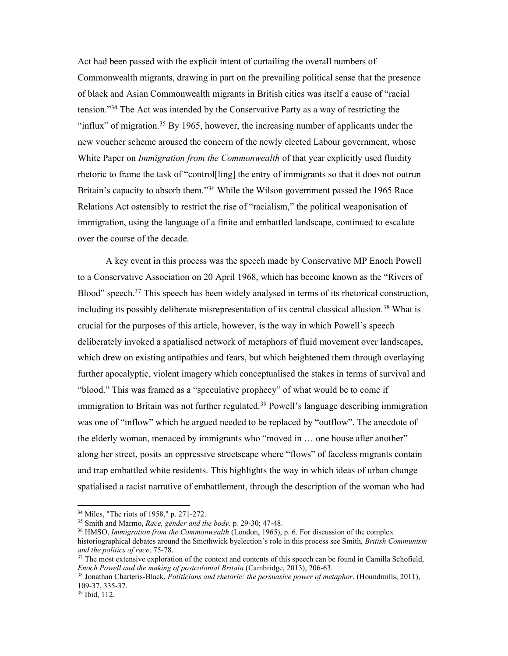Act had been passed with the explicit intent of curtailing the overall numbers of Commonwealth migrants, drawing in part on the prevailing political sense that the presence of black and Asian Commonwealth migrants in British cities was itself a cause of "racial tension."<sup>34</sup> The Act was intended by the Conservative Party as a way of restricting the "influx" of migration.<sup>35</sup> By 1965, however, the increasing number of applicants under the new voucher scheme aroused the concern of the newly elected Labour government, whose White Paper on *Immigration from the Commonwealth* of that year explicitly used fluidity rhetoric to frame the task of "control[ling] the entry of immigrants so that it does not outrun Britain's capacity to absorb them."<sup>36</sup> While the Wilson government passed the 1965 Race Relations Act ostensibly to restrict the rise of "racialism," the political weaponisation of immigration, using the language of a finite and embattled landscape, continued to escalate over the course of the decade.

A key event in this process was the speech made by Conservative MP Enoch Powell to a Conservative Association on 20 April 1968, which has become known as the "Rivers of Blood" speech.<sup>37</sup> This speech has been widely analysed in terms of its rhetorical construction, including its possibly deliberate misrepresentation of its central classical allusion.<sup>38</sup> What is crucial for the purposes of this article, however, is the way in which Powell's speech deliberately invoked a spatialised network of metaphors of fluid movement over landscapes, which drew on existing antipathies and fears, but which heightened them through overlaying further apocalyptic, violent imagery which conceptualised the stakes in terms of survival and "blood." This was framed as a "speculative prophecy" of what would be to come if immigration to Britain was not further regulated.<sup>39</sup> Powell's language describing immigration was one of "inflow" which he argued needed to be replaced by "outflow". The anecdote of the elderly woman, menaced by immigrants who "moved in … one house after another" along her street, posits an oppressive streetscape where "flows" of faceless migrants contain and trap embattled white residents. This highlights the way in which ideas of urban change spatialised a racist narrative of embattlement, through the description of the woman who had

<sup>34</sup> Miles, "The riots of 1958," p. 271-272.

<sup>&</sup>lt;sup>35</sup> Smith and Marmo, *Race*, gender and the body, p. 29-30; 47-48.

<sup>&</sup>lt;sup>36</sup> HMSO, *Immigration from the Commonwealth* (London, 1965), p. 6. For discussion of the complex historiographical debates around the Smethwick byelection's role in this process see Smith, British Communism and the politics of race, 75-78.

<sup>&</sup>lt;sup>37</sup> The most extensive exploration of the context and contents of this speech can be found in Camilla Schofield, Enoch Powell and the making of postcolonial Britain (Cambridge, 2013), 206-63.

<sup>&</sup>lt;sup>38</sup> Jonathan Charteris-Black, *Politicians and rhetoric: the persuasive power of metaphor*, (Houndmills, 2011), 109-37, 335-37.

<sup>39</sup> Ibid, 112.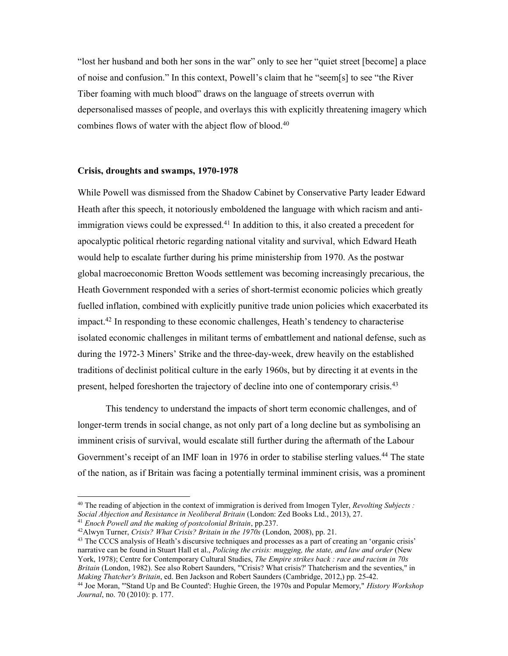"lost her husband and both her sons in the war" only to see her "quiet street [become] a place of noise and confusion." In this context, Powell's claim that he "seem[s] to see "the River Tiber foaming with much blood" draws on the language of streets overrun with depersonalised masses of people, and overlays this with explicitly threatening imagery which combines flows of water with the abject flow of blood.<sup>40</sup>

#### Crisis, droughts and swamps, 1970-1978

While Powell was dismissed from the Shadow Cabinet by Conservative Party leader Edward Heath after this speech, it notoriously emboldened the language with which racism and antiimmigration views could be expressed.<sup>41</sup> In addition to this, it also created a precedent for apocalyptic political rhetoric regarding national vitality and survival, which Edward Heath would help to escalate further during his prime ministership from 1970. As the postwar global macroeconomic Bretton Woods settlement was becoming increasingly precarious, the Heath Government responded with a series of short-termist economic policies which greatly fuelled inflation, combined with explicitly punitive trade union policies which exacerbated its impact.<sup>42</sup> In responding to these economic challenges, Heath's tendency to characterise isolated economic challenges in militant terms of embattlement and national defense, such as during the 1972-3 Miners' Strike and the three-day-week, drew heavily on the established traditions of declinist political culture in the early 1960s, but by directing it at events in the present, helped foreshorten the trajectory of decline into one of contemporary crisis.<sup>43</sup>

This tendency to understand the impacts of short term economic challenges, and of longer-term trends in social change, as not only part of a long decline but as symbolising an imminent crisis of survival, would escalate still further during the aftermath of the Labour Government's receipt of an IMF loan in 1976 in order to stabilise sterling values.<sup>44</sup> The state of the nation, as if Britain was facing a potentially terminal imminent crisis, was a prominent

 $40$  The reading of abjection in the context of immigration is derived from Imogen Tyler, Revolting Subjects : Social Abjection and Resistance in Neoliberal Britain (London: Zed Books Ltd., 2013), 27.

 $41$  Enoch Powell and the making of postcolonial Britain, pp.237.

 $^{42}$ Alwyn Turner, Crisis? What Crisis? Britain in the 1970s (London, 2008), pp. 21.

<sup>&</sup>lt;sup>43</sup> The CCCS analysis of Heath's discursive techniques and processes as a part of creating an 'organic crisis' narrative can be found in Stuart Hall et al., Policing the crisis: mugging, the state, and law and order (New York, 1978); Centre for Contemporary Cultural Studies, The Empire strikes back : race and racism in 70s Britain (London, 1982). See also Robert Saunders, "'Crisis? What crisis?' Thatcherism and the seventies," in Making Thatcher's Britain, ed. Ben Jackson and Robert Saunders (Cambridge, 2012,) pp. 25-42.

<sup>&</sup>lt;sup>44</sup> Joe Moran, "'Stand Up and Be Counted': Hughie Green, the 1970s and Popular Memory," *History Workshop* Journal, no. 70 (2010): p. 177.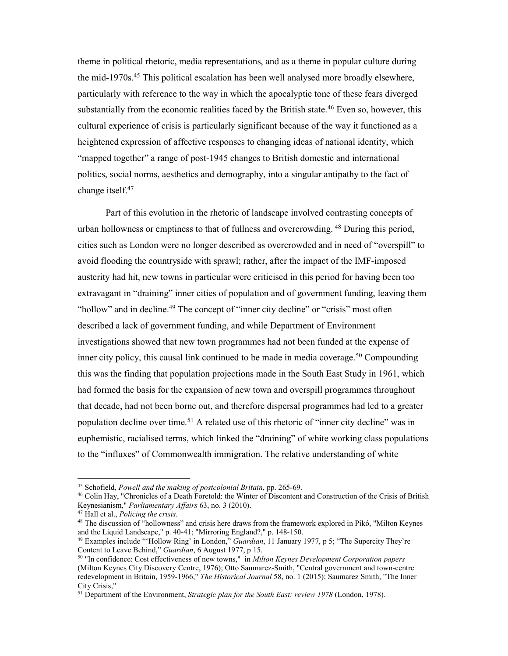theme in political rhetoric, media representations, and as a theme in popular culture during the mid-1970s.<sup>45</sup> This political escalation has been well analysed more broadly elsewhere, particularly with reference to the way in which the apocalyptic tone of these fears diverged substantially from the economic realities faced by the British state.<sup>46</sup> Even so, however, this cultural experience of crisis is particularly significant because of the way it functioned as a heightened expression of affective responses to changing ideas of national identity, which "mapped together" a range of post-1945 changes to British domestic and international politics, social norms, aesthetics and demography, into a singular antipathy to the fact of change itself.<sup>47</sup>

Part of this evolution in the rhetoric of landscape involved contrasting concepts of urban hollowness or emptiness to that of fullness and overcrowding.<sup>48</sup> During this period, cities such as London were no longer described as overcrowded and in need of "overspill" to avoid flooding the countryside with sprawl; rather, after the impact of the IMF-imposed austerity had hit, new towns in particular were criticised in this period for having been too extravagant in "draining" inner cities of population and of government funding, leaving them "hollow" and in decline.<sup>49</sup> The concept of "inner city decline" or "crisis" most often described a lack of government funding, and while Department of Environment investigations showed that new town programmes had not been funded at the expense of inner city policy, this causal link continued to be made in media coverage.<sup>50</sup> Compounding this was the finding that population projections made in the South East Study in 1961, which had formed the basis for the expansion of new town and overspill programmes throughout that decade, had not been borne out, and therefore dispersal programmes had led to a greater population decline over time.<sup>51</sup> A related use of this rhetoric of "inner city decline" was in euphemistic, racialised terms, which linked the "draining" of white working class populations to the "influxes" of Commonwealth immigration. The relative understanding of white

<sup>45</sup> Schofield, Powell and the making of postcolonial Britain, pp. 265-69.

<sup>46</sup> Colin Hay, "Chronicles of a Death Foretold: the Winter of Discontent and Construction of the Crisis of British Keynesianism," Parliamentary Affairs 63, no. 3 (2010).

<sup>&</sup>lt;sup>47</sup> Hall et al., *Policing the crisis*.

<sup>48</sup> The discussion of "hollowness" and crisis here draws from the framework explored in Pikó, "Milton Keynes and the Liquid Landscape," p. 40-41; "Mirroring England?," p. 148-150.

<sup>&</sup>lt;sup>49</sup> Examples include "'Hollow Ring' in London," Guardian, 11 January 1977, p 5; "The Supercity They're Content to Leave Behind," Guardian, 6 August 1977, p 15.

<sup>&</sup>lt;sup>50</sup> "In confidence: Cost effectiveness of new towns," in Milton Keynes Development Corporation papers (Milton Keynes City Discovery Centre, 1976); Otto Saumarez-Smith, "Central government and town-centre redevelopment in Britain, 1959-1966," The Historical Journal 58, no. 1 (2015); Saumarez Smith, "The Inner City Crisis,"

<sup>&</sup>lt;sup>51</sup> Department of the Environment, Strategic plan for the South East: review 1978 (London, 1978).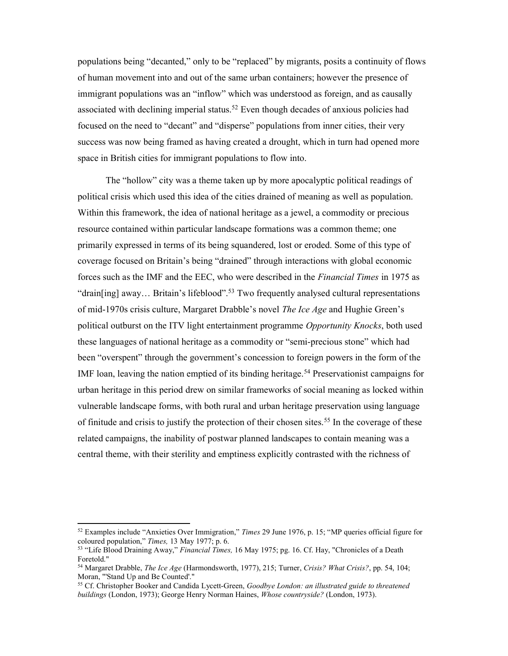populations being "decanted," only to be "replaced" by migrants, posits a continuity of flows of human movement into and out of the same urban containers; however the presence of immigrant populations was an "inflow" which was understood as foreign, and as causally associated with declining imperial status.<sup>52</sup> Even though decades of anxious policies had focused on the need to "decant" and "disperse" populations from inner cities, their very success was now being framed as having created a drought, which in turn had opened more space in British cities for immigrant populations to flow into.

The "hollow" city was a theme taken up by more apocalyptic political readings of political crisis which used this idea of the cities drained of meaning as well as population. Within this framework, the idea of national heritage as a jewel, a commodity or precious resource contained within particular landscape formations was a common theme; one primarily expressed in terms of its being squandered, lost or eroded. Some of this type of coverage focused on Britain's being "drained" through interactions with global economic forces such as the IMF and the EEC, who were described in the Financial Times in 1975 as "drain[ing] away... Britain's lifeblood".<sup>53</sup> Two frequently analysed cultural representations of mid-1970s crisis culture, Margaret Drabble's novel The Ice Age and Hughie Green's political outburst on the ITV light entertainment programme *Opportunity Knocks*, both used these languages of national heritage as a commodity or "semi-precious stone" which had been "overspent" through the government's concession to foreign powers in the form of the IMF loan, leaving the nation emptied of its binding heritage.<sup>54</sup> Preservationist campaigns for urban heritage in this period drew on similar frameworks of social meaning as locked within vulnerable landscape forms, with both rural and urban heritage preservation using language of finitude and crisis to justify the protection of their chosen sites.<sup>55</sup> In the coverage of these related campaigns, the inability of postwar planned landscapes to contain meaning was a central theme, with their sterility and emptiness explicitly contrasted with the richness of

<sup>&</sup>lt;sup>52</sup> Examples include "Anxieties Over Immigration," Times 29 June 1976, p. 15; "MP queries official figure for coloured population," Times, 13 May 1977; p. 6.

<sup>53 &</sup>quot;Life Blood Draining Away," Financial Times, 16 May 1975; pg. 16. Cf. Hay, "Chronicles of a Death Foretold."

<sup>&</sup>lt;sup>54</sup> Margaret Drabble, *The Ice Age* (Harmondsworth, 1977), 215; Turner, *Crisis? What Crisis?*, pp. 54, 104; Moran, "'Stand Up and Be Counted'."

<sup>&</sup>lt;sup>55</sup> Cf. Christopher Booker and Candida Lycett-Green, Goodbye London: an illustrated guide to threatened buildings (London, 1973); George Henry Norman Haines, Whose countryside? (London, 1973).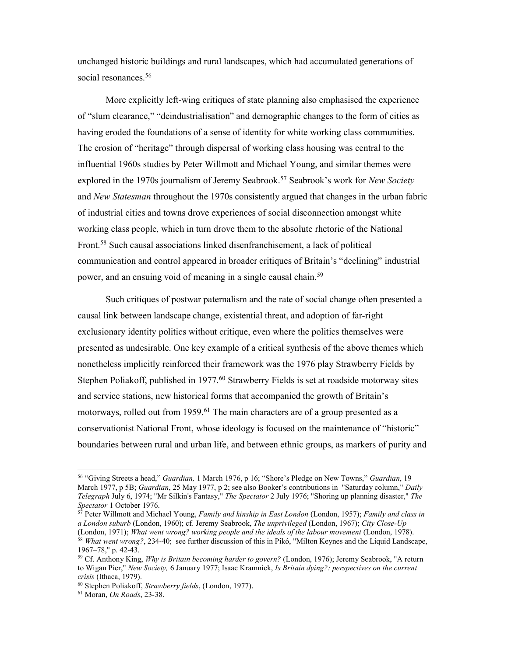unchanged historic buildings and rural landscapes, which had accumulated generations of social resonances.<sup>56</sup>

More explicitly left-wing critiques of state planning also emphasised the experience of "slum clearance," "deindustrialisation" and demographic changes to the form of cities as having eroded the foundations of a sense of identity for white working class communities. The erosion of "heritage" through dispersal of working class housing was central to the influential 1960s studies by Peter Willmott and Michael Young, and similar themes were explored in the 1970s journalism of Jeremy Seabrook.<sup>57</sup> Seabrook's work for *New Society* and New Statesman throughout the 1970s consistently argued that changes in the urban fabric of industrial cities and towns drove experiences of social disconnection amongst white working class people, which in turn drove them to the absolute rhetoric of the National Front.<sup>58</sup> Such causal associations linked disenfranchisement, a lack of political communication and control appeared in broader critiques of Britain's "declining" industrial power, and an ensuing void of meaning in a single causal chain.<sup>59</sup>

Such critiques of postwar paternalism and the rate of social change often presented a causal link between landscape change, existential threat, and adoption of far-right exclusionary identity politics without critique, even where the politics themselves were presented as undesirable. One key example of a critical synthesis of the above themes which nonetheless implicitly reinforced their framework was the 1976 play Strawberry Fields by Stephen Poliakoff, published in 1977.<sup>60</sup> Strawberry Fields is set at roadside motorway sites and service stations, new historical forms that accompanied the growth of Britain's motorways, rolled out from 1959.<sup>61</sup> The main characters are of a group presented as a conservationist National Front, whose ideology is focused on the maintenance of "historic" boundaries between rural and urban life, and between ethnic groups, as markers of purity and

<sup>&</sup>lt;sup>56</sup> "Giving Streets a head," Guardian, 1 March 1976, p 16; "Shore's Pledge on New Towns," Guardian, 19 March 1977, p 5B; Guardian, 25 May 1977, p 2; see also Booker's contributions in "Saturday column," Daily Telegraph July 6, 1974; "Mr Silkin's Fantasy," The Spectator 2 July 1976; "Shoring up planning disaster," The Spectator 1 October 1976.

 $57$  Peter Willmott and Michael Young, Family and kinship in East London (London, 1957); Family and class in a London suburb (London, 1960); cf. Jeremy Seabrook, The unprivileged (London, 1967); City Close-Up (London, 1971); What went wrong? working people and the ideals of the labour movement (London, 1978).

<sup>&</sup>lt;sup>58</sup> What went wrong?, 234-40; see further discussion of this in Pikó, "Milton Keynes and the Liquid Landscape, 1967–78," p. 42-43.

<sup>&</sup>lt;sup>59</sup> Cf. Anthony King, Why is Britain becoming harder to govern? (London, 1976); Jeremy Seabrook, "A return to Wigan Pier," New Society, 6 January 1977; Isaac Kramnick, Is Britain dying?: perspectives on the current crisis (Ithaca, 1979).

<sup>60</sup> Stephen Poliakoff, Strawberry fields, (London, 1977).

<sup>61</sup> Moran, On Roads, 23-38.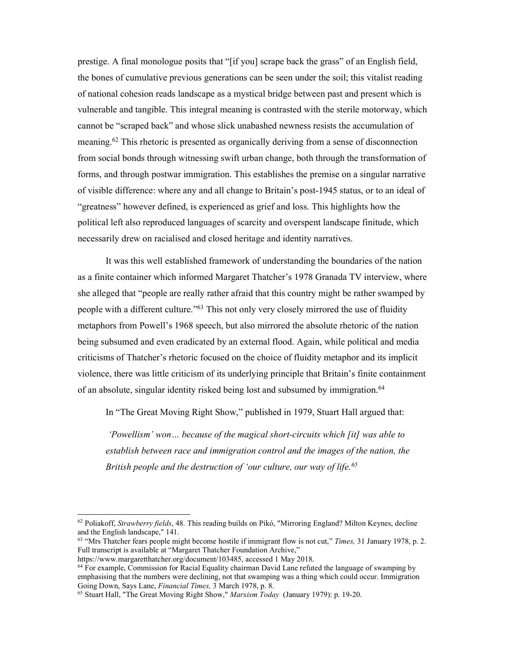prestige. A final monologue posits that "[if you] scrape back the grass" of an English field, the bones of cumulative previous generations can be seen under the soil; this vitalist reading of national cohesion reads landscape as a mystical bridge between past and present which is vulnerable and tangible. This integral meaning is contrasted with the sterile motorway, which cannot be "scraped back" and whose slick unabashed newness resists the accumulation of meaning.<sup>62</sup> This rhetoric is presented as organically deriving from a sense of disconnection from social bonds through witnessing swift urban change, both through the transformation of forms, and through postwar immigration. This establishes the premise on a singular narrative of visible difference: where any and all change to Britain's post-1945 status, or to an ideal of "greatness" however defined, is experienced as grief and loss. This highlights how the political left also reproduced languages of scarcity and overspent landscape finitude, which necessarily drew on racialised and closed heritage and identity narratives.

It was this well established framework of understanding the boundaries of the nation as a finite container which informed Margaret Thatcher's 1978 Granada TV interview, where she alleged that "people are really rather afraid that this country might be rather swamped by people with a different culture."<sup>63</sup> This not only very closely mirrored the use of fluidity metaphors from Powell's 1968 speech, but also mirrored the absolute rhetoric of the nation being subsumed and even eradicated by an external flood. Again, while political and media criticisms of Thatcher's rhetoric focused on the choice of fluidity metaphor and its implicit violence, there was little criticism of its underlying principle that Britain's finite containment of an absolute, singular identity risked being lost and subsumed by immigration.<sup>64</sup>

In "The Great Moving Right Show," published in 1979, Stuart Hall argued that:

 'Powellism' won… because of the magical short-circuits which [it] was able to establish between race and immigration control and the images of the nation, the British people and the destruction of 'our culture, our way of life. $65$ 

 $62$  Poliakoff, *Strawberry fields*, 48. This reading builds on Pikó, "Mirroring England? Milton Keynes, decline and the English landscape," 141.

 $63$  "Mrs Thatcher fears people might become hostile if immigrant flow is not cut," *Times*, 31 January 1978, p. 2. Full transcript is available at "Margaret Thatcher Foundation Archive,"

https://www.margaretthatcher.org/document/103485, accessed 1 May 2018.

<sup>64</sup> For example, Commission for Racial Equality chairman David Lane refuted the language of swamping by emphasising that the numbers were declining, not that swamping was a thing which could occur. Immigration Going Down, Says Lane, Financial Times, 3 March 1978, p. 8.

<sup>&</sup>lt;sup>65</sup> Stuart Hall, "The Great Moving Right Show," Marxism Today (January 1979): p. 19-20.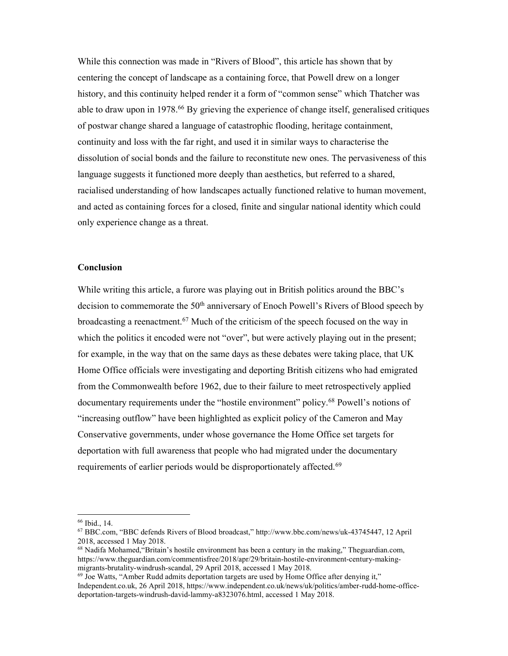While this connection was made in "Rivers of Blood", this article has shown that by centering the concept of landscape as a containing force, that Powell drew on a longer history, and this continuity helped render it a form of "common sense" which Thatcher was able to draw upon in 1978.<sup>66</sup> By grieving the experience of change itself, generalised critiques of postwar change shared a language of catastrophic flooding, heritage containment, continuity and loss with the far right, and used it in similar ways to characterise the dissolution of social bonds and the failure to reconstitute new ones. The pervasiveness of this language suggests it functioned more deeply than aesthetics, but referred to a shared, racialised understanding of how landscapes actually functioned relative to human movement, and acted as containing forces for a closed, finite and singular national identity which could only experience change as a threat.

### Conclusion

While writing this article, a furore was playing out in British politics around the BBC's decision to commemorate the 50<sup>th</sup> anniversary of Enoch Powell's Rivers of Blood speech by broadcasting a reenactment.<sup>67</sup> Much of the criticism of the speech focused on the way in which the politics it encoded were not "over", but were actively playing out in the present; for example, in the way that on the same days as these debates were taking place, that UK Home Office officials were investigating and deporting British citizens who had emigrated from the Commonwealth before 1962, due to their failure to meet retrospectively applied documentary requirements under the "hostile environment" policy.<sup>68</sup> Powell's notions of "increasing outflow" have been highlighted as explicit policy of the Cameron and May Conservative governments, under whose governance the Home Office set targets for deportation with full awareness that people who had migrated under the documentary requirements of earlier periods would be disproportionately affected.<sup>69</sup>

<sup>66</sup> Ibid., 14.

<sup>67</sup> BBC.com, "BBC defends Rivers of Blood broadcast," http://www.bbc.com/news/uk-43745447, 12 April 2018, accessed 1 May 2018.

<sup>68</sup> Nadifa Mohamed,"Britain's hostile environment has been a century in the making," Theguardian.com, https://www.theguardian.com/commentisfree/2018/apr/29/britain-hostile-environment-century-makingmigrants-brutality-windrush-scandal, 29 April 2018, accessed 1 May 2018.

 $^{69}$  Joe Watts, "Amber Rudd admits deportation targets are used by Home Office after denying it," Independent.co.uk, 26 April 2018, https://www.independent.co.uk/news/uk/politics/amber-rudd-home-officedeportation-targets-windrush-david-lammy-a8323076.html, accessed 1 May 2018.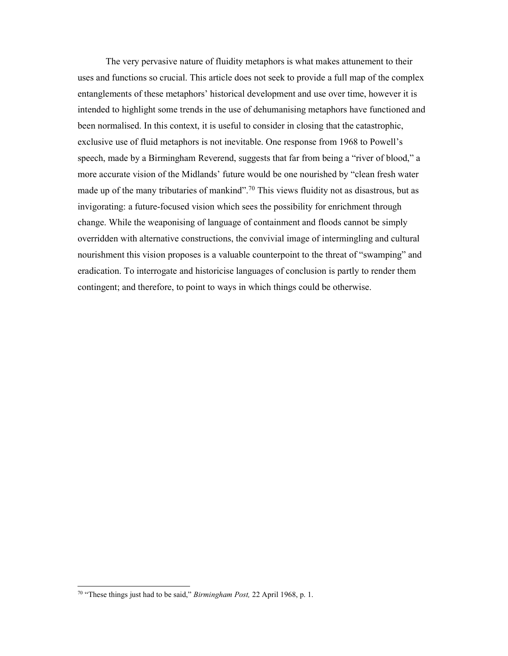The very pervasive nature of fluidity metaphors is what makes attunement to their uses and functions so crucial. This article does not seek to provide a full map of the complex entanglements of these metaphors' historical development and use over time, however it is intended to highlight some trends in the use of dehumanising metaphors have functioned and been normalised. In this context, it is useful to consider in closing that the catastrophic, exclusive use of fluid metaphors is not inevitable. One response from 1968 to Powell's speech, made by a Birmingham Reverend, suggests that far from being a "river of blood," a more accurate vision of the Midlands' future would be one nourished by "clean fresh water made up of the many tributaries of mankind".<sup>70</sup> This views fluidity not as disastrous, but as invigorating: a future-focused vision which sees the possibility for enrichment through change. While the weaponising of language of containment and floods cannot be simply overridden with alternative constructions, the convivial image of intermingling and cultural nourishment this vision proposes is a valuable counterpoint to the threat of "swamping" and eradication. To interrogate and historicise languages of conclusion is partly to render them contingent; and therefore, to point to ways in which things could be otherwise.

<sup>&</sup>lt;sup>70</sup> "These things just had to be said," Birmingham Post, 22 April 1968, p. 1.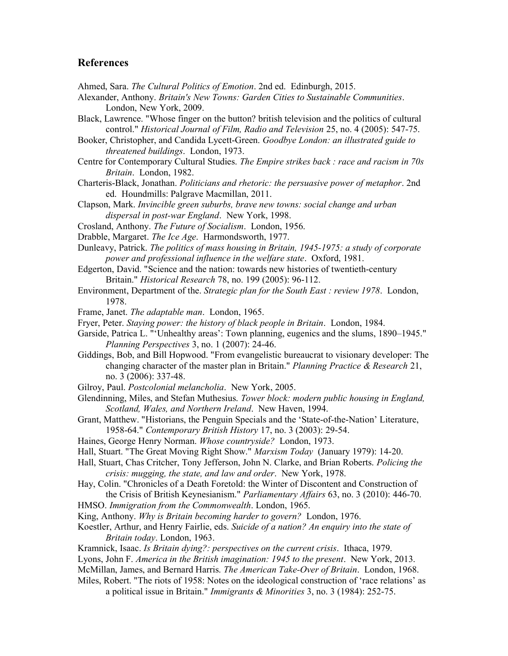## References

Ahmed, Sara. The Cultural Politics of Emotion. 2nd ed. Edinburgh, 2015.

- Alexander, Anthony. Britain's New Towns: Garden Cities to Sustainable Communities. London, New York, 2009.
- Black, Lawrence. "Whose finger on the button? british television and the politics of cultural control." Historical Journal of Film, Radio and Television 25, no. 4 (2005): 547-75.
- Booker, Christopher, and Candida Lycett-Green. Goodbye London: an illustrated guide to threatened buildings. London, 1973.
- Centre for Contemporary Cultural Studies. The Empire strikes back : race and racism in 70s Britain. London, 1982.
- Charteris-Black, Jonathan. Politicians and rhetoric: the persuasive power of metaphor. 2nd ed. Houndmills: Palgrave Macmillan, 2011.
- Clapson, Mark. Invincible green suburbs, brave new towns: social change and urban dispersal in post-war England. New York, 1998.
- Crosland, Anthony. The Future of Socialism. London, 1956.
- Drabble, Margaret. The Ice Age. Harmondsworth, 1977.
- Dunleavy, Patrick. The politics of mass housing in Britain, 1945-1975: a study of corporate power and professional influence in the welfare state. Oxford, 1981.
- Edgerton, David. "Science and the nation: towards new histories of twentieth-century Britain." Historical Research 78, no. 199 (2005): 96-112.
- Environment, Department of the. Strategic plan for the South East : review 1978. London, 1978.
- Frame, Janet. The adaptable man. London, 1965.
- Fryer, Peter. Staying power: the history of black people in Britain. London, 1984.
- Garside, Patrica L. "'Unhealthy areas': Town planning, eugenics and the slums, 1890–1945." Planning Perspectives 3, no. 1 (2007): 24-46.
- Giddings, Bob, and Bill Hopwood. "From evangelistic bureaucrat to visionary developer: The changing character of the master plan in Britain." Planning Practice & Research 21, no. 3 (2006): 337-48.
- Gilroy, Paul. Postcolonial melancholia. New York, 2005.
- Glendinning, Miles, and Stefan Muthesius. Tower block: modern public housing in England, Scotland, Wales, and Northern Ireland. New Haven, 1994.
- Grant, Matthew. "Historians, the Penguin Specials and the 'State-of-the-Nation' Literature, 1958-64." Contemporary British History 17, no. 3 (2003): 29-54.
- Haines, George Henry Norman. Whose countryside? London, 1973.
- Hall, Stuart. "The Great Moving Right Show." Marxism Today (January 1979): 14-20.
- Hall, Stuart, Chas Critcher, Tony Jefferson, John N. Clarke, and Brian Roberts. Policing the crisis: mugging, the state, and law and order. New York, 1978.
- Hay, Colin. "Chronicles of a Death Foretold: the Winter of Discontent and Construction of the Crisis of British Keynesianism." Parliamentary Affairs 63, no. 3 (2010): 446-70.
- HMSO. Immigration from the Commonwealth. London, 1965.
- King, Anthony. Why is Britain becoming harder to govern? London, 1976.
- Koestler, Arthur, and Henry Fairlie, eds. Suicide of a nation? An enquiry into the state of Britain today. London, 1963.
- Kramnick, Isaac. Is Britain dying?: perspectives on the current crisis. Ithaca, 1979.
- Lyons, John F. America in the British imagination: 1945 to the present. New York, 2013.
- McMillan, James, and Bernard Harris. The American Take-Over of Britain. London, 1968.
- Miles, Robert. "The riots of 1958: Notes on the ideological construction of 'race relations' as a political issue in Britain." Immigrants & Minorities 3, no. 3 (1984): 252-75.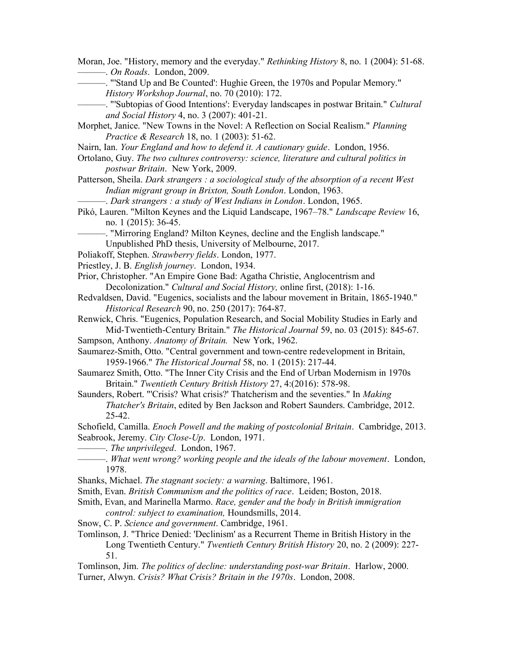Moran, Joe. "History, memory and the everyday." Rethinking History 8, no. 1 (2004): 51-68. ———. On Roads. London, 2009.

———. "'Stand Up and Be Counted': Hughie Green, the 1970s and Popular Memory."

History Workshop Journal, no. 70 (2010): 172.

-. "'Subtopias of Good Intentions': Everyday landscapes in postwar Britain." Cultural and Social History 4, no. 3 (2007): 401-21.

Morphet, Janice. "New Towns in the Novel: A Reflection on Social Realism." *Planning* Practice & Research 18, no. 1 (2003): 51-62.

Nairn, Ian. Your England and how to defend it. A cautionary guide. London, 1956.

Ortolano, Guy. The two cultures controversy: science, literature and cultural politics in postwar Britain. New York, 2009.

Patterson, Sheila. Dark strangers : a sociological study of the absorption of a recent West Indian migrant group in Brixton, South London. London, 1963.

 $-$ . Dark strangers : a study of West Indians in London. London, 1965.

Pikó, Lauren. "Milton Keynes and the Liquid Landscape, 1967–78." Landscape Review 16, no. 1 (2015): 36-45.

–. "Mirroring England? Milton Keynes, decline and the English landscape."

Unpublished PhD thesis, University of Melbourne, 2017.

Poliakoff, Stephen. Strawberry fields. London, 1977.

Priestley, J. B. English journey. London, 1934.

Prior, Christopher. "An Empire Gone Bad: Agatha Christie, Anglocentrism and Decolonization." Cultural and Social History, online first, (2018): 1-16.

Redvaldsen, David. "Eugenics, socialists and the labour movement in Britain, 1865-1940." Historical Research 90, no. 250 (2017): 764-87.

Renwick, Chris. "Eugenics, Population Research, and Social Mobility Studies in Early and Mid-Twentieth-Century Britain." The Historical Journal 59, no. 03 (2015): 845-67.

Sampson, Anthony. Anatomy of Britain. New York, 1962.

Saumarez-Smith, Otto. "Central government and town-centre redevelopment in Britain, 1959-1966." The Historical Journal 58, no. 1 (2015): 217-44.

Saumarez Smith, Otto. "The Inner City Crisis and the End of Urban Modernism in 1970s Britain." Twentieth Century British History 27, 4:(2016): 578-98.

Saunders, Robert. "'Crisis? What crisis?' Thatcherism and the seventies." In Making Thatcher's Britain, edited by Ben Jackson and Robert Saunders. Cambridge, 2012. 25-42.

Schofield, Camilla. *Enoch Powell and the making of postcolonial Britain*. Cambridge, 2013. Seabrook, Jeremy. City Close-Up. London, 1971.

———. The unprivileged. London, 1967.

——. What went wrong? working people and the ideals of the labour movement. London, 1978.

Shanks, Michael. *The stagnant society: a warning*. Baltimore, 1961.

Smith, Evan. British Communism and the politics of race. Leiden; Boston, 2018.

Smith, Evan, and Marinella Marmo. Race, gender and the body in British immigration control: subject to examination, Houndsmills, 2014.

Snow, C. P. Science and government. Cambridge, 1961.

Tomlinson, J. "Thrice Denied: 'Declinism' as a Recurrent Theme in British History in the Long Twentieth Century." Twentieth Century British History 20, no. 2 (2009): 227- 51.

Tomlinson, Jim. The politics of decline: understanding post-war Britain. Harlow, 2000. Turner, Alwyn. Crisis? What Crisis? Britain in the 1970s. London, 2008.